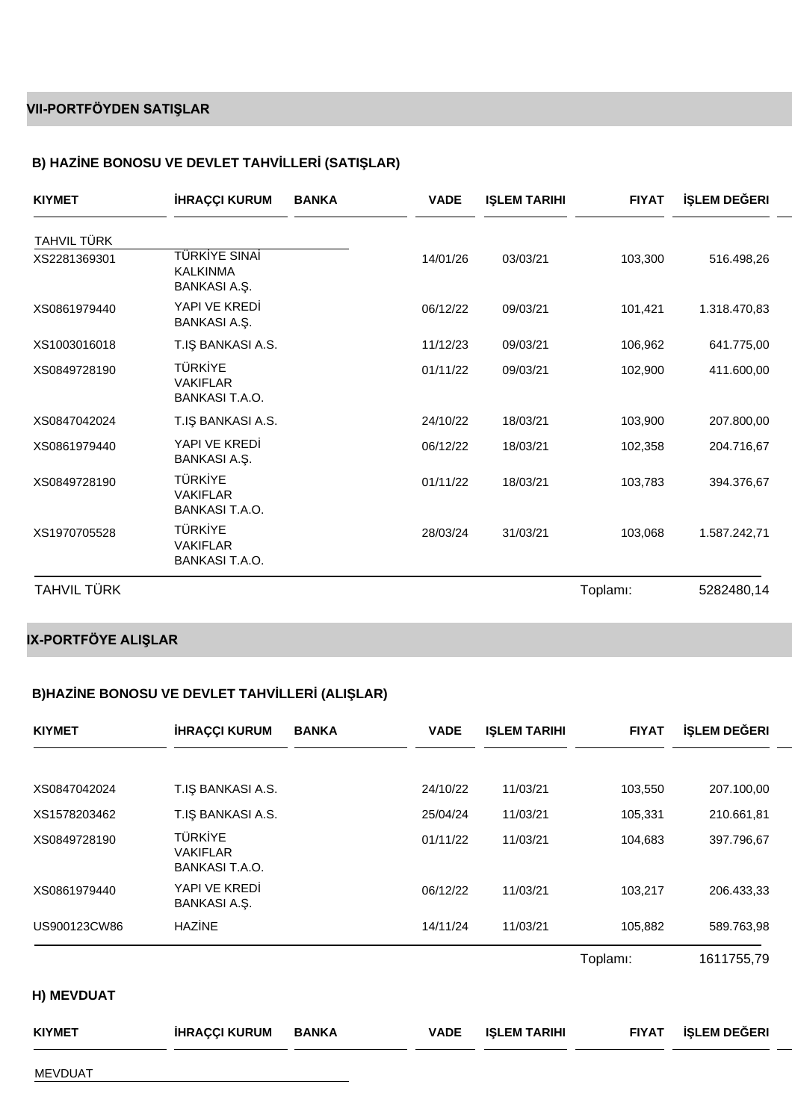## **VII-PORTFÖYDEN SATIŞLAR**

### **B) HAZ NE BONOSU VE DEVLET TAHV LLER (SATI LAR)**

| <b>KIYMET</b>      | <b>HRAÇÇI KURUM</b>                                 | <b>BANKA</b> | <b>VADE</b> | <b>I LEM TARIHI</b> | <b>FIYAT</b> | LEM DE ERI   |
|--------------------|-----------------------------------------------------|--------------|-------------|---------------------|--------------|--------------|
| TAHVIL TÜRK        |                                                     |              |             |                     |              |              |
| XS2281369301       | <b>TÜRK YE SINA</b><br><b>KALKINMA</b><br>BANKASIA  |              | 14/01/26    | 03/03/21            | 103,300      | 516.498,26   |
| XS0861979440       | YAPI VE KRED<br>BANKASIA                            |              | 06/12/22    | 09/03/21            | 101,421      | 1.318.470,83 |
| XS1003016018       | <b>BANKASI A.S.</b><br>T.I                          |              | 11/12/23    | 09/03/21            | 106,962      | 641.775,00   |
| XS0849728190       | TÜRK YE<br><b>VAKIFLAR</b><br>BANKASI T.A.O.        |              | 01/11/22    | 09/03/21            | 102,900      | 411.600,00   |
| XS0847042024       | <b>BANKASI A.S.</b><br>T.L                          |              | 24/10/22    | 18/03/21            | 103,900      | 207.800,00   |
| XS0861979440       | YAPI VE KRED<br>BANKASIA                            |              | 06/12/22    | 18/03/21            | 102,358      | 204.716,67   |
| XS0849728190       | TÜRK YE<br><b>VAKIFLAR</b><br>BANKASI T.A.O.        |              | 01/11/22    | 18/03/21            | 103,783      | 394.376,67   |
| XS1970705528       | <b>TÜRK YE</b><br><b>VAKIFLAR</b><br>BANKASI T.A.O. |              | 28/03/24    | 31/03/21            | 103,068      | 1.587.242,71 |
| <b>TAHVIL TÜRK</b> |                                                     |              |             |                     | Toplamı:     | 5282480,14   |

# **IX-PORTFÖYE ALIŞLAR**

### **B)HAZ NE BONOSU VE DEVLET TAHV LLER (ALI LAR)**

| <b>KIYMET</b>  | <b>HRAÇÇI KURUM</b>                          | <b>BANKA</b> | <b>VADE</b> | I LEM TARIHI        | <b>FIYAT</b>          | LEM DE ERI |
|----------------|----------------------------------------------|--------------|-------------|---------------------|-----------------------|------------|
|                |                                              |              |             |                     |                       |            |
| XS0847042024   | <b>BANKASI A.S.</b><br>T.I                   |              | 24/10/22    | 11/03/21            | 103,550               | 207.100,00 |
| XS1578203462   | <b>BANKASI A.S.</b><br>T.I                   |              | 25/04/24    | 11/03/21            | 105,331               | 210.661,81 |
| XS0849728190   | TÜRK YE<br><b>VAKIFLAR</b><br>BANKASI T.A.O. |              | 01/11/22    | 11/03/21            | 104,683               | 397.796,67 |
| XS0861979440   | YAPI VE KRED<br>BANKASIA                     |              | 06/12/22    | 11/03/21            | 103,217               | 206.433,33 |
| US900123CW86   | HAZ NE                                       |              | 14/11/24    | 11/03/21            | 105,882               | 589.763,98 |
|                |                                              |              |             |                     | Toplam <sub>i</sub> : | 1611755,79 |
| H) MEVDUAT     |                                              |              |             |                     |                       |            |
| <b>KIYMET</b>  | <b>HRAÇÇI KURUM</b>                          | <b>BANKA</b> | <b>VADE</b> | <b>I LEM TARIHI</b> | <b>FIYAT</b>          | LEM DE ERI |
| <b>MEVDUAT</b> |                                              |              |             |                     |                       |            |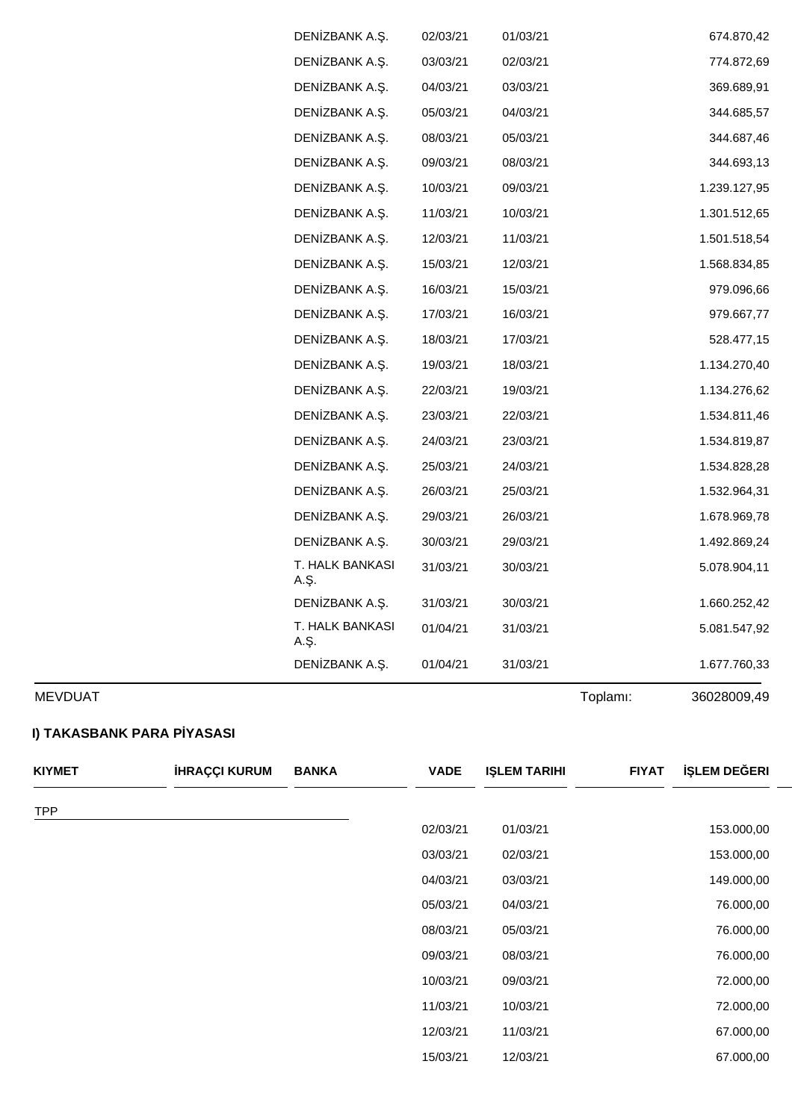| <b>MEVDUAT</b> |                         |          |          | Toplamı: | 36028009,49  |
|----------------|-------------------------|----------|----------|----------|--------------|
|                | DEN ZBANK A. .          | 01/04/21 | 31/03/21 |          | 1.677.760,33 |
|                | T. HALK BANKASI<br>A. . | 01/04/21 | 31/03/21 |          | 5.081.547,92 |
|                | DEN ZBANK A             | 31/03/21 | 30/03/21 |          | 1.660.252,42 |
|                | T. HALK BANKASI<br>A. . | 31/03/21 | 30/03/21 |          | 5.078.904,11 |
|                | DEN ZBANK A             | 30/03/21 | 29/03/21 |          | 1.492.869,24 |
|                | DEN ZBANK A.            | 29/03/21 | 26/03/21 |          | 1.678.969,78 |
|                | DEN ZBANK A. .          | 26/03/21 | 25/03/21 |          | 1.532.964,31 |
|                | DEN ZBANK A. .          | 25/03/21 | 24/03/21 |          | 1.534.828,28 |
|                | DEN ZBANK A. .          | 24/03/21 | 23/03/21 |          | 1.534.819,87 |
|                | DEN ZBANK A. .          | 23/03/21 | 22/03/21 |          | 1.534.811,46 |
|                | DEN ZBANK A. .          | 22/03/21 | 19/03/21 |          | 1.134.276,62 |
|                | DEN ZBANK A. .          | 19/03/21 | 18/03/21 |          | 1.134.270,40 |
|                | DEN ZBANK A.            | 18/03/21 | 17/03/21 |          | 528.477,15   |
|                | DEN ZBANK A. .          | 17/03/21 | 16/03/21 |          | 979.667,77   |
|                | DEN ZBANK A.            | 16/03/21 | 15/03/21 |          | 979.096,66   |
|                | DEN ZBANK A.            | 15/03/21 | 12/03/21 |          | 1.568.834,85 |
|                | DEN ZBANK A. .          | 12/03/21 | 11/03/21 |          | 1.501.518,54 |
|                | DEN ZBANK A             | 11/03/21 | 10/03/21 |          | 1.301.512,65 |
|                | DEN ZBANK A. .          | 10/03/21 | 09/03/21 |          | 1.239.127,95 |
|                | DEN ZBANK A.            | 09/03/21 | 08/03/21 |          | 344.693,13   |
|                | DEN ZBANK A. .          | 08/03/21 | 05/03/21 |          | 344.687,46   |
|                | DEN ZBANK A. .          | 05/03/21 | 04/03/21 |          | 344.685,57   |
|                | DEN ZBANK A. .          | 04/03/21 | 03/03/21 |          | 369.689,91   |
|                | DEN ZBANK A. .          | 03/03/21 | 02/03/21 |          | 774.872,69   |
|                | DEN ZBANK A. .          | 02/03/21 | 01/03/21 |          | 674.870,42   |

### **I) TAKASBANK PARA P YASASI**

| <b>TPP</b><br>02/03/21<br>01/03/21<br>153.000,00<br>03/03/21<br>02/03/21<br>153.000,00<br>04/03/21<br>03/03/21<br>149.000,00<br>05/03/21<br>04/03/21<br>76.000,00<br>08/03/21<br>05/03/21<br>76.000,00 |
|--------------------------------------------------------------------------------------------------------------------------------------------------------------------------------------------------------|
|                                                                                                                                                                                                        |
|                                                                                                                                                                                                        |
|                                                                                                                                                                                                        |
|                                                                                                                                                                                                        |
|                                                                                                                                                                                                        |
|                                                                                                                                                                                                        |
| 09/03/21<br>08/03/21<br>76.000,00                                                                                                                                                                      |
| 10/03/21<br>72.000,00<br>09/03/21                                                                                                                                                                      |
| 11/03/21<br>10/03/21<br>72.000,00                                                                                                                                                                      |
| 12/03/21<br>11/03/21<br>67.000,00                                                                                                                                                                      |
| 15/03/21<br>12/03/21<br>67.000,00                                                                                                                                                                      |